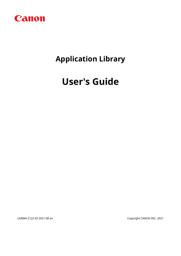

# **Application Library**

# **User's Guide**

USRMA-2122-03 2021-08 en Copyright CANON INC. 2021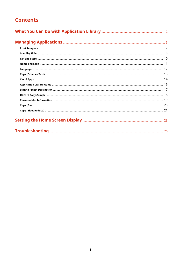# **Contents**

|--|--|

|--|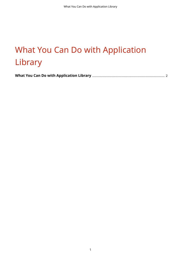# What You Can Do with Application Library

**[What You Can Do with Application Library](#page-3-0)** ......................................................................................... 2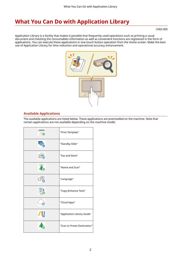# <span id="page-3-0"></span>**What You Can Do with Application Library**

#### 1A92-000

Application Library is a facility that makes it possible that frequently used operations such as printing a usual document and checking the consumables information as well as convenient functions are registered in the form of applications. You can execute these applications in one-touch button operation from the Home screen. Make the best use of Application Library for time reduction and operational accuracy enhancement.



### **Available Applications**

The available applications are listed below. These applications are preinstalled on the machine. Note that certain applications are not available depending on the machine model.

| "Print Template"             |
|------------------------------|
| "Standby Slide"              |
| "Fax and Store"              |
| "Name and Scan"              |
| "Language"                   |
| "Copy (Enhance Text)"        |
| "Cloud Apps"                 |
| "Application Library Guide"  |
| "Scan to Preset Destination" |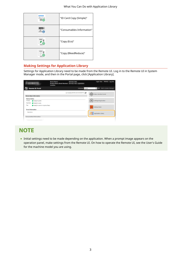| "ID Card Copy (Simple)"   |
|---------------------------|
| "Consumables Information" |
| "Copy (Eco)"              |
| "Copy (BleedReduce)"      |

# **Making Settings for Application Library**

Settings for Application Library need to be made from the Remote UI. Log in to the Remote UI in System Manager mode, and then in the Portal page, click [Application Library].

|                                          | <b>Device Name:</b><br>Product Name (Serial Number):<br>Location: | Login User: 7654321 Log Out |
|------------------------------------------|-------------------------------------------------------------------|-----------------------------|
| <b>Remote UI: Portal</b>                 | Linguage grobb                                                    | D 23 Meil to System Manager |
|                                          | Lest Updated(9/06 2019 03:49:48 PM ++                             | (D) Status Monitor/Cancel   |
| <b>Device Basic Information</b>          |                                                                   |                             |
| <b>Device Status</b>                     |                                                                   |                             |
| Printer: C Ready to print.               |                                                                   | (K) Settings/Registration   |
| Scanner: @ Ready to scan.                |                                                                   |                             |
| Patt<br>Pready to send or receive fares. |                                                                   | Address Book                |
| <b>Error Information</b>                 |                                                                   |                             |
| No empre.                                |                                                                   | Application Library         |
| Concumables Information                  |                                                                   |                             |
| Check Consumables Details                |                                                                   |                             |

# **NOTE**

● Initial settings need to be made depending on the application. When a prompt image appears on the operation panel, make settings from the Remote UI. On how to operate the Remote UI, see the User's Guide for the machine model you are using.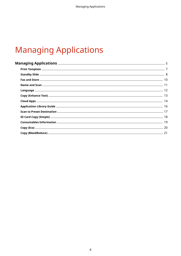# **Managing Applications**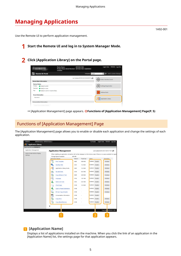1A92-001

# <span id="page-6-0"></span>**Managing Applications**

Use the Remote UI to perform application management.

**1 Start the Remote UI and log in to System Manager Mode.**

**2 Click [Application Library] on the Portal page.**

|                                                   | <b>Device Name:</b><br><b>Product Name (Serial Number):</b><br>Location: |                                        | Login User: 7654321 Log Out            |
|---------------------------------------------------|--------------------------------------------------------------------------|----------------------------------------|----------------------------------------|
| <b>Remote UI: Portal</b>                          |                                                                          | Linguage English                       | D Mel to System Manager                |
|                                                   |                                                                          | Lest Updated(9/06 2019 03:49:48 PM + 3 | Status Monitor/Cancel                  |
| <b>Device Basic Information</b>                   |                                                                          |                                        |                                        |
| Device Status                                     |                                                                          |                                        |                                        |
| Printer: C Ready to print.                        |                                                                          |                                        | $(\frac{11}{2})$ Settings/Registration |
| Scanner: @ Ready to scan.                         |                                                                          |                                        |                                        |
| Part.<br><b>O</b> Ready to send or receive fancs. |                                                                          |                                        | Address Book                           |
| <b>Error Information</b>                          |                                                                          |                                        |                                        |
| No empre.                                         |                                                                          |                                        | Application Library                    |
| Concumpbies Information                           |                                                                          |                                        |                                        |

**■ [Application Management] page appears. OFunctions of [Application Management] Page(P. 5)** 

# Functions of [Application Management] Page

The [Application Management] page allows you to enable or disable each application and change the settings of each application.

| Application Management                 | <b>Application Management</b>                                                                                                                           |         |                   |                  | Lest Updated/02/02 2021 02:51:17 AM ++ |
|----------------------------------------|---------------------------------------------------------------------------------------------------------------------------------------------------------|---------|-------------------|------------------|----------------------------------------|
| Home Screen Button Display<br>Settings | When enabling an application, its button will not be cluplayed on the Home screen if there is no space assilable for regist<br>Storage Space Available: | 429 MB  |                   |                  |                                        |
|                                        | <b>Anglication Name</b>                                                                                                                                 | Version | <b>Total Size</b> | Stature.         | Cinesting                              |
|                                        | Print Template                                                                                                                                          | 0405    | G69 MG            | Enabled Disable  | Initialize                             |
|                                        | ٩<br>Standby Slide                                                                                                                                      | 0205    | 12.0 MB           | insblad Disable  | Initialize                             |
|                                        | 'U<br>Application Library Guide                                                                                                                         | 0405    | 12.0 MS           | Insbled pisable  | mitialize                              |
|                                        | 鵖<br>Fax and Store                                                                                                                                      | 0104    | 6.43 MB           | triabled Disable | Initialize                             |
|                                        | B<br>Copy (Enhance Text)                                                                                                                                | 0385    | 6.50 MG           | Enabled Disable  | Initialize                             |
|                                        | Ó.<br>Language                                                                                                                                          | 0102    | 1.91 MB           | Enabled Disable  | Initialize                             |
|                                        | Â,<br>Name and Scan                                                                                                                                     | 0203    | 6.65 MB           | insblad Disable  | Initialize                             |
|                                        | Cloud Apps<br>- 6                                                                                                                                       | 0100    | 12.9 MS           | Insbled pisable  | <b>Initialize</b>                      |
|                                        | Scan to Preset Destination                                                                                                                              | 0100    |                   | triabled Disable | Initialize                             |
|                                        | 퓳<br>D Card Copy (Single)                                                                                                                               | 0100    |                   | Enabled Disable  | Initialize                             |
|                                        | 昜<br>Consumables information                                                                                                                            | 0100    |                   | Enabled Disable  |                                        |
|                                        | 5<br>Copy (lice)                                                                                                                                        | 0100    | ×                 | insblad Disable  | Initialize                             |
|                                        | Copy (BleedWeduce)                                                                                                                                      | 0100    |                   | Insbled Disable  | misalize                               |

# **[Application Name]**

Displays a list of applications installed on the machine. When you click the link of an application in the [Application Name] list, the settings page for that application appears.

5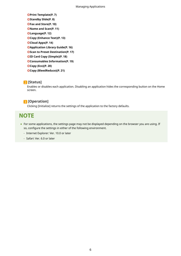**Print Template(P. 7) OStandby Slide(P. 8) OFax and Store(P. 10) O**Name and Scan(P. 11) **[Language\(P. 12\)](#page-13-0)  [Copy \(Enhance Text\)\(P. 13\)](#page-14-0)  [Cloud Apps\(P. 14\)](#page-15-0)  [Application Library Guide\(P. 16\)](#page-17-0)  OScan to Preset Destination(P. 17) DID Card Copy (Simple)(P. 18) [Consumables Information\(P. 19\)](#page-20-0)  [Copy \(Eco\)\(P. 20\)](#page-21-0)  [Copy \(BleedReduce\)\(P. 21\)](#page-22-0)** 

# **[Status]**

Enables or disables each application. Disabling an application hides the corresponding button on the Home screen.

# **[Operation]**

Clicking [Initialize] returns the settings of the application to the factory defaults.

# **NOTE**

- For some applications, the settings page may not be displayed depending on the browser you are using. If so, configure the settings in either of the following environment.
	- Internet Explorer: Ver. 10.0 or later
	- Safari: Ver. 6.0 or later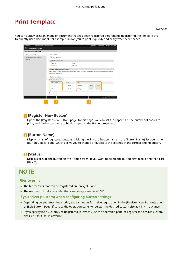# <span id="page-8-0"></span>**Print Template**

#### 1A92-002

You can quickly print an image or document that has been registered beforehand. Registering the template of a frequently used document, for example, allows you to print it quickly and easily whenever needed.

|                                        |                                                  |                |           | <b>To Portal</b> | Login User: 7654321 Log Out |                           |  |
|----------------------------------------|--------------------------------------------------|----------------|-----------|------------------|-----------------------------|---------------------------|--|
| <b>Application Library</b>             |                                                  |                |           |                  |                             |                           |  |
| Derice Serial Number 2QN 00004         |                                                  |                |           |                  |                             |                           |  |
| Application Management                 | <b>Print Template</b>                            |                |           |                  |                             |                           |  |
| Home Screen Button Display<br>Settings | <b>Tay Print Template</b>                        |                |           |                  |                             |                           |  |
|                                        | <b>Application Information</b>                   |                |           |                  |                             |                           |  |
|                                        | <b>Versions</b>                                  | 0204           |           |                  |                             |                           |  |
|                                        | Total Size:                                      |                | 7.66 MB   |                  |                             |                           |  |
|                                        | <b>Manage Registration Information</b>           |                |           |                  |                             |                           |  |
|                                        | <b>Registered Buttons</b><br>Register New Button |                |           |                  |                             |                           |  |
|                                        | <b>Button Name</b>                               | 526            | Status    |                  |                             |                           |  |
|                                        | 111                                              | <b>DISEASE</b> | Displayed | Hide             | Delete:                     |                           |  |
|                                        | 222                                              | 0.989648       | Displayed | Hide             | pelete                      |                           |  |
|                                        | z<br>2                                           |                |           | 3                |                             | Copyright CANON INC. 2018 |  |

# **[Register New Button]**

Opens the [Register New Button] page. In this page, you can set the paper size, the number of copies to print, and the button name to be displayed on the Home screen, etc.

# **[Button Name]**

Displays a list of registered buttons. Clicking the link of a button name in the [Button Name] list opens the [Button Details] page, which allows you to change or duplicate the settings of the corresponding button.

# **[Status]**

Displays or hide the button on the Home screen. If you want to delete the button, first hide it and then click [Delete].

# **NOTE**

#### **Files to print**

- The file formats that can be registered are only JPEG and PDF.
- The maximum total size of files that can be registered is 48 MB.

#### If you select [Custom] when configuring button settings

- Depending on your machine model, you cannot perform size registration in the [Register New Button] page or [Edit Button] page. If so, use the operation panel to register the desired custom size as <S1> in advance.
- If you specify [Use Custom Size Registered in Device], use the operation panel to register the desired custom size (<S1> to <S3>) in advance.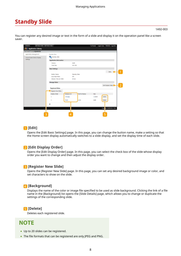# <span id="page-9-0"></span>**Standby Slide**

#### 1A92-003

You can register any desired image or text in the form of a slide and display it on the operation panel like a screen saver.

| Derice Serial Number 2Q/M00004 |                                |              |                 |             |                        |  |
|--------------------------------|--------------------------------|--------------|-----------------|-------------|------------------------|--|
| Application Management         | Standby Slide                  |              |                 |             |                        |  |
| Home Streen Button Display     | Standby Slide                  |              |                 |             |                        |  |
| Settings                       | <b>Application Information</b> |              |                 |             |                        |  |
|                                | <b>Venion</b>                  |              | 0204            |             |                        |  |
|                                | Total Size:                    |              | 141 MB          |             |                        |  |
|                                | <b>Basic Settings</b>          |              |                 |             |                        |  |
|                                |                                |              |                 |             | Edit.                  |  |
|                                | <b>Button Name</b>             |              | Standby Skde    |             |                        |  |
|                                | Auto Start Slide:              |              | Off             |             |                        |  |
|                                | Display Time per Slide:        |              | 10 sec.         |             |                        |  |
|                                | <b>Manage Slides</b>           |              |                 |             |                        |  |
|                                |                                |              |                 |             | Edit Display Order.    |  |
|                                | <b>Registered Slides</b>       |              |                 |             |                        |  |
|                                | Register New Slide             |              |                 |             |                        |  |
|                                | Display Order                  | Background   | Text to Display | <b>Side</b> |                        |  |
|                                | ä.                             | <b>MAjos</b> |                 | 1,106/62    | Delete                 |  |
|                                | 2                              | Black        | 1234            | OMB         | Delete                 |  |
|                                | ×                              |              |                 |             |                        |  |
|                                |                                |              |                 |             |                        |  |
|                                |                                |              |                 |             | Copy MACANON INC. 2008 |  |

### **[Edit]**

Opens the [Edit Basic Settings] page. In this page, you can change the button name, make a setting so that the Home screen display automatically switches to a slide display, and set the display time of each slide.

# **[Edit Display Order]**

Opens the [Edit Display Order] page. In this page, you can select the check box of the slide whose display order you want to change and then adjust the display order.

### **[Register New Slide]**

Opens the [Register New Slide] page. In this page, you can set any desired background image or color, and set characters to show on the slide.

# **[Background]**

Displays the name of the color or image file specified to be used as slide background. Clicking the link of a file name in the [Background] list opens the [Slide Details] page, which allows you to change or duplicate the settings of the corresponding slide.

# **[Delete]**

Deletes each registered slide.

# **NOTE**

- Up to 20 slides can be registered.
- The file formats that can be registered are only JPEG and PNG.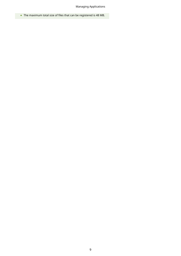# Managing Applications

• The maximum total size of files that can be registered is 48 MB.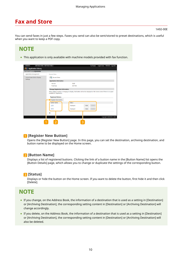# <span id="page-11-0"></span>**Fax and Store**

#### 1A92-00E

You can send faxes in just a few steps. Faxes you send can also be sent/stored to preset destinations, which is useful when you want to keep a PDF copy.

# **NOTE**

● This application is only available with machine models provided with fax function.

| <b>Application Library</b><br>Derice Serial Number 2QN 00004 |                                        |               |                 |  |
|--------------------------------------------------------------|----------------------------------------|---------------|-----------------|--|
| Application Management                                       | Fax and Store                          |               |                 |  |
| Home Screen Button Display<br>Settings                       | 1% Fax and Store                       |               |                 |  |
|                                                              | <b>Application Information</b>         |               |                 |  |
|                                                              | Versions                               | 0100          |                 |  |
|                                                              | <b>Total Size:</b>                     | 6.07 MB       |                 |  |
|                                                              | <b>Manage Registration Information</b> |               |                 |  |
|                                                              | <b>Registered Buttons</b>              |               |                 |  |
|                                                              | Register New Button                    |               |                 |  |
|                                                              | Button Name                            | <b>Status</b> |                 |  |
|                                                              | 1234                                   | Displayed     | Deleter<br>Hide |  |
|                                                              | 5678                                   | Displayed     | Hide<br>palate  |  |

### **[Register New Button]**

Opens the [Register New Button] page. In this page, you can set the destination, archiving destination, and button name to be displayed on the Home screen.

# **D** [Button Name]

Displays a list of registered buttons. Clicking the link of a button name in the [Button Name] list opens the [Button Details] page, which allows you to change or duplicate the settings of the corresponding button.

# **[Status]**

Displays or hide the button on the Home screen. If you want to delete the button, first hide it and then click [Delete].

# **NOTE**

- If you change, on the Address Book, the information of a destination that is used as a setting in [Destination] or [Archiving Destination], the corresponding setting content in [Destination] or [Archiving Destination] will change accordingly.
- If you delete, on the Address Book, the information of a destination that is used as a setting in [Destination] or [Archiving Destination], the corresponding setting content in [Destination] or [Archiving Destination] will also be deleted.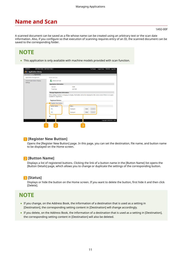# <span id="page-12-0"></span>**Name and Scan**

1A92-00F

A scanned document can be saved as a file whose name can be created using an arbitrary text or the scan date information. Also, if you configure so that execution of scanning requires entry of an ID, the scanned document can be saved to the corresponding folder.

# **NOTE**

● This application is only available with machine models provided with scan function.

|                                        |                                                  |               | <b>To Portal</b>      | Login User: 7654321 Log Out |                           |  |
|----------------------------------------|--------------------------------------------------|---------------|-----------------------|-----------------------------|---------------------------|--|
| <b>Application Library</b>             |                                                  |               |                       |                             |                           |  |
| Derice Serial Namber 2QN 00004         |                                                  |               |                       |                             |                           |  |
| Application Management                 | Name and Scan-                                   |               |                       |                             |                           |  |
| Home Screen Button Display<br>Settings | <b>As Name and Scan</b>                          |               |                       |                             |                           |  |
|                                        | <b>Application Information</b>                   |               |                       |                             |                           |  |
|                                        | Versions                                         | 0100          |                       |                             |                           |  |
|                                        | <b>Total Size:</b>                               | 6.27 MB       |                       |                             |                           |  |
|                                        | <b>Manage Registration Information</b>           |               |                       |                             |                           |  |
|                                        |                                                  |               |                       |                             |                           |  |
|                                        | <b>Registered Buttons</b><br>Register New Button |               |                       |                             |                           |  |
|                                        | <b>Button Name</b>                               | <b>Status</b> |                       |                             |                           |  |
|                                        | 001                                              | Displayed     | Hide<br>Delete        |                             |                           |  |
|                                        | 003                                              | Displayed     | <b>Delete</b><br>Hide |                             |                           |  |
|                                        | z                                                |               |                       |                             |                           |  |
|                                        |                                                  |               |                       |                             |                           |  |
|                                        |                                                  |               |                       |                             | Copyright CANON INC. 2018 |  |
|                                        | ٠                                                |               | 3                     |                             |                           |  |

# **[Register New Button]**

Opens the [Register New Button] page. In this page, you can set the destination, file name, and button name to be displayed on the Home screen.

# **[Button Name]**

Displays a list of registered buttons. Clicking the link of a button name in the [Button Name] list opens the [Button Details] page, which allows you to change or duplicate the settings of the corresponding button.

# **[Status]**

Displays or hide the button on the Home screen. If you want to delete the button, first hide it and then click [Delete].

# **NOTE**

- If you change, on the Address Book, the information of a destination that is used as a setting in [Destination], the corresponding setting content in [Destination] will change accordingly.
- If you delete, on the Address Book, the information of a destination that is used as a setting in [Destination], the corresponding setting content in [Destination] will also be deleted.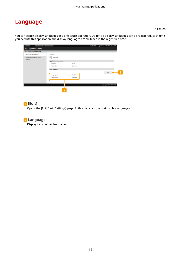# <span id="page-13-0"></span>**Language**

#### 1A92-00H

You can switch display languages in a one-touch operation. Up to five display languages can be registered. Each time you execute this application, the display languages are switched in the registered order.

|                                   | <b>UNITED STATES FROM A</b>    |                  | <b>To Portal</b> | Login User: 7654321 Log Out |  |
|-----------------------------------|--------------------------------|------------------|------------------|-----------------------------|--|
| <b>Application Library</b>        |                                |                  |                  |                             |  |
| Derice Serial Number 2 Q N 00004  |                                |                  |                  |                             |  |
| Application Management            | Lenguage                       |                  |                  |                             |  |
| <b>Home Screen Button Display</b> | <b>B</b> Lenguage              |                  |                  |                             |  |
| Settings                          | <b>Application Information</b> |                  |                  |                             |  |
|                                   | <b>Wersions</b>                | (100)            |                  |                             |  |
|                                   | <b>Total Size:</b>             | 1.90 MS          |                  |                             |  |
|                                   | <b>Basic Settings</b>          |                  |                  |                             |  |
|                                   |                                |                  |                  | sex. 6                      |  |
|                                   | Language 1:                    | Inglish          |                  |                             |  |
|                                   | Language 2:                    | <b>Imparenzo</b> |                  |                             |  |
|                                   | z                              |                  |                  |                             |  |
|                                   |                                |                  |                  | Copyright CANCIN INC. 2018  |  |
|                                   |                                |                  |                  |                             |  |

# **[Edit]**

Opens the [Edit Basic Settings] page. In this page, you can set display languages.

# **2** Language

Displays a list of set languages.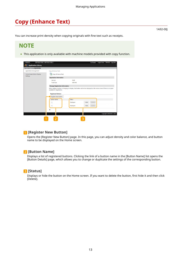# <span id="page-14-0"></span>**Copy (Enhance Text)**

1A92-00J

You can increase print density when copying originals with fine text such as receipts.

# **NOTE**

● This application is only available with machine models provided with copy function.

| Derice Serial Number 2QN 00004         |                                                  |               |                                                                                                                         |  |
|----------------------------------------|--------------------------------------------------|---------------|-------------------------------------------------------------------------------------------------------------------------|--|
| Application Management                 | Copy (Enhance Text)                              |               |                                                                                                                         |  |
| Home Screen Button Display<br>Settings | Copy (Enhance Text)                              |               |                                                                                                                         |  |
|                                        | <b>Application Information</b>                   |               |                                                                                                                         |  |
|                                        | Versions                                         | 0100          |                                                                                                                         |  |
|                                        | Total Size:                                      | 6.45 MB       |                                                                                                                         |  |
|                                        | <b>Manage Registration Information</b>           |               |                                                                                                                         |  |
|                                        | mailable for registration.                       |               | When adding a button or changing its display, that button will not be displayed on the Home screen if there is no space |  |
|                                        | <b>Registered Buttons</b><br>Register New Button |               |                                                                                                                         |  |
|                                        | Button Name                                      | <b>Status</b> |                                                                                                                         |  |
|                                        | $+1$<br>$\sim$                                   | Displayed     | Delete:<br>Hide                                                                                                         |  |
|                                        | $+2$                                             | Displayed     | Hide<br><b>Delete</b>                                                                                                   |  |
|                                        | z                                                |               |                                                                                                                         |  |

### **[Register New Button]**

Opens the [Register New Button] page. In this page, you can adjust density and color balance, and button name to be displayed on the Home screen.

# **[Button Name]**

Displays a list of registered buttons. Clicking the link of a button name in the [Button Name] list opens the [Button Details] page, which allows you to change or duplicate the settings of the corresponding button.

### **[Status]**

Displays or hide the button on the Home screen. If you want to delete the button, first hide it and then click [Delete].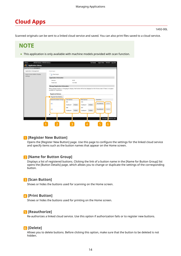# <span id="page-15-0"></span>**Cloud Apps**

#### 1A92-00L

Scanned originals can be sent to a linked cloud service and saved. You can also print files saved to a cloud service.

# **NOTE**

● This application is only available with machine models provided with scan function.

| Desker Serial Number (2001) 1980 1981  |                                              |                     |                            |                        |
|----------------------------------------|----------------------------------------------|---------------------|----------------------------|------------------------|
| Application Management                 | Cloud Apps                                   |                     |                            |                        |
| Home Screen Button Display<br>Settings | Cal Cloud Apps                               |                     |                            |                        |
|                                        | <b>Application Information</b>               |                     |                            |                        |
|                                        | <b>Version:</b>                              | 0100                |                            |                        |
|                                        | Total Size:                                  | 12.9 MB             |                            |                        |
|                                        | Manage Registration Information              |                     |                            |                        |
|                                        | Register New Button<br>Name for Button Group | Scan Button         | <b>Print Rutton</b>        | Operation              |
|                                        |                                              | 002                 | 003                        | Reauthorize<br>Delete- |
|                                        | 001<br>---                                   | Hidden<br>Displayed | <b>Hidden</b><br>Displayed |                        |
|                                        |                                              | 006                 | 007                        |                        |
|                                        | 035<br>---                                   | Hidden<br>Displayed | Hidden<br>Displayed        | Reauthorize<br>Delete- |
|                                        |                                              |                     |                            |                        |
|                                        | x                                            |                     |                            |                        |
|                                        |                                              |                     |                            |                        |

### **[Register New Button]**

Opens the [Register New Button] page. Use this page to configure the settings for the linked cloud service and specify items such as the button names that appear on the Home screen.

# **[Name for Button Group]**

Displays a list of registered buttons. Clicking the link of a button name in the [Name for Button Group] list opens the [Button Details] page, which allows you to change or duplicate the settings of the corresponding button.

# **[3]** [Scan Button]

Shows or hides the buttons used for scanning on the Home screen.

### **[Print Button]**

Shows or hides the buttons used for printing on the Home screen.

### **[Reauthorize]**

Re-authorizes a linked cloud service. Use this option if authorization fails or to register new buttons.

### **[Delete]**

Allows you to delete buttons. Before clicking this option, make sure that the button to be deleted is not hidden.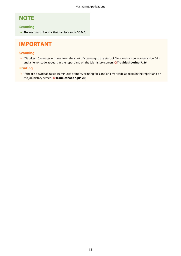# **NOTE**

# **Scanning**

• The maximum file size that can be sent is 30 MB.

# **IMPORTANT**

# **Scanning**

● If it takes 10 minutes or more from the start of scanning to the start of file transmission, transmission fails and an error code appears in the report and on the job history screen. **Troubleshooting(P. 26)** 

# **Printing**

● If the file download takes 10 minutes or more, printing fails and an error code appears in the report and on the job history screen. **OTroubleshooting(P. 26)**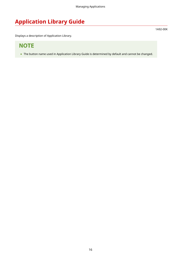# <span id="page-17-0"></span>**Application Library Guide**

1A92-00K

Displays a description of Application Library.

# **NOTE**

● The button name used in Application Library Guide is determined by default and cannot be changed.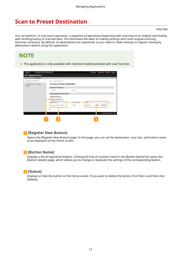# <span id="page-18-0"></span>**Scan to Preset Destination**

#### 1A92-004

You can perform, in one-touch operation, a sequence of operations beginning with scanning of an original and ending with sending/saving of scanned data. This eliminates the labor of making settings each time original scanning becomes necessary. By default, no destinations are registered, so you need to make settings to register necessary destinations before using this application.

# **NOTE**

● This application is only available with machine models provided with scan function.

| Derice Serial Number 2QN 00004         |                                 |               |               |                       |                           |
|----------------------------------------|---------------------------------|---------------|---------------|-----------------------|---------------------------|
| Application Management                 | Scan to Preset Destination      |               |               |                       |                           |
| Home Screen Button Display<br>Settings | 4. Scan to Preset Destination   |               |               |                       |                           |
|                                        | <b>Application Information</b>  |               |               |                       |                           |
|                                        | versions                        | 0100          |               |                       |                           |
|                                        | Manage Registration Information |               |               |                       |                           |
|                                        | <b>Registered Buttons</b>       |               |               |                       |                           |
|                                        | Register New Button             |               |               |                       |                           |
|                                        | Button Name                     | Send Category | <b>Status</b> |                       |                           |
|                                        | Scan to Preset Destination      | E-Mail        | Displayed     | <b>Delete</b><br>Hide |                           |
|                                        | z                               |               |               |                       |                           |
|                                        |                                 |               |               |                       |                           |
|                                        |                                 |               |               |                       | Copyright CANON INC. 2018 |

# **[Register New Button]**

Opens the [Register New Button] page. In this page, you can set the destination, scan size, and button name to be displayed on the Home screen.

# **[Button Name]**

Displays a list of registered buttons. Clicking the link of a button name in the [Button Name] list opens the [Button Details] page, which allows you to change or duplicate the settings of the corresponding button.

### **[Status]**

Displays or hide the button on the Home screen. If you want to delete the button, first hide it and then click [Delete].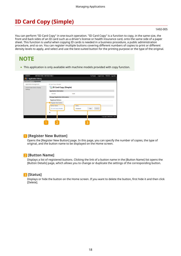# <span id="page-19-0"></span>**ID Card Copy (Simple)**

#### 1A92-005

You can perform "ID Card Copy" in one-touch operation. "ID Card Copy" is a function to copy, in the same size, the front and back sides of an ID card such as a driver's license or health insurance card, onto the same side of a paper sheet. This function is useful when copying ID cards is needed in a business procedure, a public administration procedure, and so on. You can register multiple buttons covering different numbers of copies to print or different density levels to apply, and select and use the best-suited button for the printing purpose or the type of the original.

# **NOTE**

● This application is only available with machine models provided with copy function.

|                                        | <b>SECURITY AND</b>             |           | To Portal | Login User: 7654321 Log Out |                            |  |
|----------------------------------------|---------------------------------|-----------|-----------|-----------------------------|----------------------------|--|
| <b>Application Library</b><br>л        |                                 |           |           |                             |                            |  |
| Derior Serial Number 2QN 00004         |                                 |           |           |                             |                            |  |
| Application Management                 | ID Card Copy (Simple)           |           |           |                             |                            |  |
| Home Streen Button Display<br>Settings | <b>ID Card Copy (Simple)</b>    |           |           |                             |                            |  |
|                                        | <b>Application Information</b>  |           |           |                             |                            |  |
|                                        | vesions                         | 0100      |           |                             |                            |  |
|                                        | Manage Registration Information |           |           |                             |                            |  |
|                                        | <b>Registered Buttons</b>       |           |           |                             |                            |  |
|                                        | Register New Button             |           |           |                             |                            |  |
|                                        | <b>Button Name</b>              | Status:   |           |                             |                            |  |
|                                        | ID Card Copy (Simple)           | Displayed | Hide      | Delete                      |                            |  |
|                                        | Ξ                               |           |           |                             |                            |  |
|                                        |                                 |           |           |                             |                            |  |
|                                        |                                 |           |           |                             | Copyright CANCIN INC. 2018 |  |
|                                        |                                 |           |           |                             |                            |  |
|                                        | 2                               |           | 3         |                             |                            |  |

### **[Register New Button]**

Opens the [Register New Button] page. In this page, you can specify the number of copies, the type of original, and the button name to be displayed on the Home screen.

# **[Button Name]**

Displays a list of registered buttons. Clicking the link of a button name in the [Button Name] list opens the [Button Details] page, which allows you to change or duplicate the settings of the corresponding button.

### **[Status]**

Displays or hide the button on the Home screen. If you want to delete the button, first hide it and then click [Delete].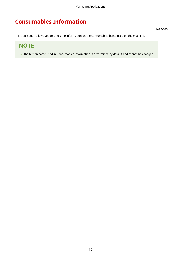# <span id="page-20-0"></span>**Consumables Information**

1A92-006

This application allows you to check the information on the consumables being used on the machine.

# **NOTE**

● The button name used in Consumables Information is determined by default and cannot be changed.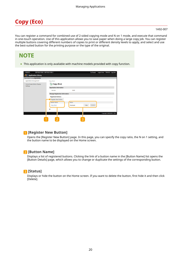# <span id="page-21-0"></span>**Copy (Eco)**

#### 1A92-007

You can register a command for combined use of 2-sided copying mode and N on 1 mode, and execute that command in one-touch operation. Use of this application allows you to save paper when doing a large copy job. You can register multiple buttons covering different numbers of copies to print or different density levels to apply, and select and use the best-suited button for the printing purpose or the type of the original.

# **NOTE**

● This application is only available with machine models provided with copy function.

|                                | <b><i><u>Property of Manufacturers</u></i></b> |           | To Portal       | Login User: 7654321 Log Out |  |
|--------------------------------|------------------------------------------------|-----------|-----------------|-----------------------------|--|
| <b>Application Library</b>     |                                                |           |                 |                             |  |
| Derice Serial Number 2QN 00004 |                                                |           |                 |                             |  |
| Application Management         | Copy (Eco)                                     |           |                 |                             |  |
| Home Streen Button Display     | Copy (Eco)                                     |           |                 |                             |  |
| Settings                       | <b>Application Information</b>                 |           |                 |                             |  |
|                                | versions                                       | 0100      |                 |                             |  |
|                                | <b>Manage Registration Information</b>         |           |                 |                             |  |
|                                | <b>Registered Buttons</b>                      |           |                 |                             |  |
|                                | Register New Button                            |           |                 |                             |  |
|                                | Button Name                                    | Status.   |                 |                             |  |
|                                | Capy (Eco)                                     | Displayed | Dillie.<br>Hide |                             |  |
|                                | z                                              |           |                 |                             |  |
|                                |                                                |           |                 |                             |  |
|                                |                                                |           |                 | Copyright CANCIN INC. 2018  |  |
|                                | ۰                                              |           |                 |                             |  |
|                                | $\overline{2}$                                 |           | 3               |                             |  |

# **[Register New Button]**

Opens the [Register New Button] page. In this page, you can specify the copy ratio, the N on 1 setting, and the button name to be displayed on the Home screen.

# **[Button Name]**

Displays a list of registered buttons. Clicking the link of a button name in the [Button Name] list opens the [Button Details] page, which allows you to change or duplicate the settings of the corresponding button.

# **[Status]**

Displays or hide the button on the Home screen. If you want to delete the button, first hide it and then click [Delete].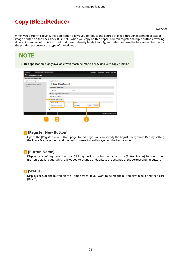# <span id="page-22-0"></span>**Copy (BleedReduce)**

#### 1A92-008

When you perform copying, this application allows you to reduce the degree of bleed-through (scanning of text or image printed on the back side). It is useful when you copy on thin paper. You can register multiple buttons covering different numbers of copies to print or different density levels to apply, and select and use the best-suited button for the printing purpose or the type of the original.

# **NOTE**

● This application is only available with machine models provided with copy function.

|                                | <b>MOVING CARDS</b>             |               | To Portal       | Login User: 7654321 Log Out |                           |  |
|--------------------------------|---------------------------------|---------------|-----------------|-----------------------------|---------------------------|--|
| <b>Application Library</b>     |                                 |               |                 |                             |                           |  |
| Derice Serial Number 2QN 00004 |                                 |               |                 |                             |                           |  |
| Application Management         | Copy (BloodReduce)              |               |                 |                             |                           |  |
| Home Streen Button Display     | Copy (BleedReduce)              |               |                 |                             |                           |  |
| Settings                       | <b>Application Information</b>  |               |                 |                             |                           |  |
|                                | vesions                         | 0100          |                 |                             |                           |  |
|                                | Manage Registration Information |               |                 |                             |                           |  |
|                                | <b>Registered Buttons</b>       |               |                 |                             |                           |  |
|                                | Register New Button             |               |                 |                             |                           |  |
|                                | Button Name                     | <b>Status</b> |                 |                             |                           |  |
|                                | Copy (SleedReduce)              | Displayed     | Delete:<br>Hide |                             |                           |  |
|                                | z                               |               |                 |                             |                           |  |
|                                |                                 |               |                 |                             |                           |  |
|                                |                                 |               |                 |                             | Copyright CANON INC. 2018 |  |
|                                |                                 |               |                 |                             |                           |  |
|                                | 2                               |               | 3               |                             |                           |  |

### **[Register New Button]**

Opens the [Register New Button] page. In this page, you can specify the Adjust Background Density setting, the Erase Frame setting, and the button name to be displayed on the Home screen.

# **[Button Name]**

Displays a list of registered buttons. Clicking the link of a button name in the [Button Name] list opens the [Button Details] page, which allows you to change or duplicate the settings of the corresponding button.

### **[Status]**

Displays or hide the button on the Home screen. If you want to delete the button, first hide it and then click [Delete].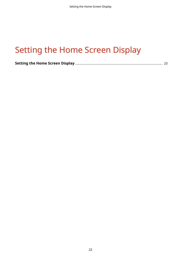# Setting the Home Screen Display

|--|--|--|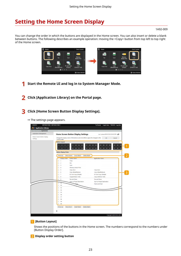# <span id="page-24-0"></span>**Setting the Home Screen Display**

#### 1A92-009

You can change the order in which the buttons are displayed in the Home screen. You can also insert or delete a blank between buttons. The following describes an example operation: moving the <Copy> button from top left to top right of the Home screen.



- **1 Start the Remote UI and log in to System Manager Mode.**
- **2 Click [Application Library] on the Portal page.**

**3 Click [Home Screen Button Display Settings].**

➠The settings page appears.

|                                  |                                                                                    | Login User: 7654321 Log Out<br><b>To Portal</b>                          |
|----------------------------------|------------------------------------------------------------------------------------|--------------------------------------------------------------------------|
| <b>II</b> Application Library    |                                                                                    |                                                                          |
| Derice Seriel Number 2 Q/N 00004 |                                                                                    |                                                                          |
| Application Management           | <b>Home Screen Button Display Settings</b>                                         | Lest Updated 08/06 2019 03:34:53 PM + +                                  |
| Home Soreen Button Display       | Change the cluplay order of the buttons and click (OK) to apply the changes to the | <b>OK</b><br>Cancell                                                     |
| Settings                         | Home screen.                                                                       |                                                                          |
|                                  | <b>Button Layout</b>                                                               |                                                                          |
|                                  | 12<br>$10 - 11$<br>17<br>2                                                         | 20<br>25<br>18<br>19<br>$\boldsymbol{\pi}$<br>23<br>34<br>25<br>26<br>28 |
|                                  | 14 15 15<br>21<br>13                                                               | $22 \mid 25 \mid$<br>$30 - 31$<br>34<br>37<br>38<br>29<br>32<br>39       |
|                                  | <b>Button Display Order</b>                                                        |                                                                          |
|                                  |                                                                                    |                                                                          |
|                                  | tesert Blank<br>Move Up<br>Move Down<br>Delete Blank                               |                                                                          |
|                                  | Display Order<br>Button Name                                                       | Application Name                                                         |
|                                  | o<br>$\mathbf{1}$<br>Copy<br>$\overline{2}$<br>Fax<br>O                            |                                                                          |
|                                  | 3<br>Scan<br>Ω                                                                     |                                                                          |
|                                  | Memory Media Print<br>4<br>Ω                                                       |                                                                          |
|                                  | Capy (Ecc)<br>s<br>Ω                                                               | Copy (Eco)                                                               |
|                                  | Capy (BleedReduce)<br>Ω<br>省                                                       | Copy (BleedReduce)                                                       |
|                                  | 7<br>ID Card Copy (Simple)<br>ο                                                    | ID Card Copy (Simple)                                                    |
|                                  | $\overline{\phantom{a}}$<br>CopyCinhance Text)<br>o                                | Copy (Enhance Text)                                                      |
|                                  | Fax and Store<br>⊙ ∌                                                               | Fax and Store                                                            |
|                                  | Scan to Preset Destination<br>Ö.<br>31                                             | Scan to Preset Destination                                               |
|                                  | $0 - 52$                                                                           | Name and Scan                                                            |
|                                  | 33<br>Ö                                                                            |                                                                          |
|                                  | Ö<br>M                                                                             |                                                                          |
|                                  | Ö<br>в                                                                             |                                                                          |
|                                  | 36<br>Ö                                                                            |                                                                          |
|                                  | Ö<br>17                                                                            |                                                                          |
|                                  | 38<br>Ö                                                                            |                                                                          |
|                                  | 39<br>Ö                                                                            |                                                                          |
|                                  | ö<br>40                                                                            |                                                                          |
|                                  | Delete Blank<br>Insert Blank<br>Move Up<br>Move Down                               |                                                                          |
|                                  |                                                                                    |                                                                          |

#### **[Button Layout]**

Shows the positions of the buttons in the Home screen. The numbers correspond to the numbers under [Button Display Order].

**<sup>2</sup>** Display order setting button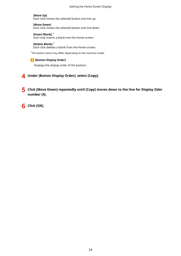#### Setting the Home Screen Display

**[Move Up]** Each click moves the selected button one line up.

**[Move Down]**

Each click moves the selected button one line down.

**[Insert Blank]** \*

Each click inserts a blank into the Home screen.

#### **[Delete Blank]** \*

Each click deletes a blank from the Home screen.

\*The button name may differ depending on the machine model.

### **[Button Display Order]**

Displays the display order of the buttons.

**4 Under [Button Display Order], select [Copy].**

**5 Click [Move Down] repeatedly until [Copy] moves down to the line for Display Oder number [4].**

**6 Click [OK].**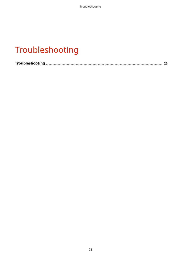# Troubleshooting

|--|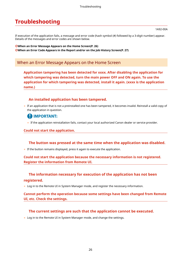# <span id="page-27-0"></span>**Troubleshooting**

1A92-00A

If execution of the application fails, a message and error code (hash symbol (#) followed by a 3-digit number) appear. Details of the messages and error codes are shown below.

**When an Error Message Appears on the Home Screen(P. 26) [When an Error Code Appears in the Report and/or on the Job History Screen\(P. 27\)](#page-28-0)** 

# When an Error Message Appears on the Home Screen

**Application tampering has been detected for xxxx. After disabling the application for which tampering was detected, turn the main power OFF and ON again. To use the application for which tampering was detected, install it again. (xxxx is the application name.)**

# **An installed application has been tampered.**

● If an application that is not a preinstalled one has been tampered, it becomes invalid. Reinstall a valid copy of the application in question.

# **4 IMPORTANT:**

● If the application reinstallation fails, contact your local authorized Canon dealer or service provider.

# **Could not start the application.**

# **The button was pressed at the same time when the application was disabled.**

● If the button remains displayed, press it again to execute the application.

# **Could not start the application because the necessary information is not registered. Register the information from Remote UI.**

# **The information necessary for execution of the application has not been**

### **registered.**

● Log in to the Remote UI in System Manager mode, and register the necessary information.

**Cannot perform the operation because some settings have been changed from Remote UI, etc. Check the settings.**

# **The current settings are such that the application cannot be executed.**

● Log in to the Remote UI in System Manager mode, and change the settings.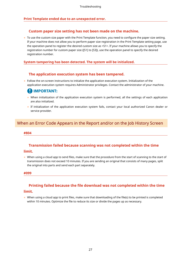### <span id="page-28-0"></span>**Print Template ended due to an unexpected error.**

# **Custom paper size setting has not been made on the machine.**

• To use the custom size paper with the Print Template function, you need to configure the paper size setting. If your machine does not allow you to perform paper size registration in the Print Template setting page, use the operation panel to register the desired custom size as <S1>. If your machine allows you to specify the registration number for custom paper size ([S1] to [S3]), use the operation panel to specify the desired registration number.

### **System tampering has been detected. The system will be initialized.**

### **The application execution system has been tampered.**

Follow the on-screen instructions to initialize the application execution system. Initialization of the application execution system requires Administrator privileges. Contact the administrator of your machine.

# **IMPORTANT:**

- When initialization of the application execution system is performed, all the settings of each application are also initialized.
- If initialization of the application execution system fails, contact your local authorized Canon dealer or service provider.

# When an Error Code Appears in the Report and/or on the Job History Screen

#### **#804**

# **Transmission failed because scanning was not completed within the time**

#### **limit.**

• When using a cloud app to send files, make sure that the procedure from the start of scanning to the start of transmission does not exceed 10 minutes. If you are sending an original that consists of many pages, split the original into parts and send each part separately.

#### **#099**

### **Printing failed because the file download was not completed within the time**

### **limit.**

• When using a cloud app to print files, make sure that downloading of the file(s) to be printed is completed within 10 minutes. Optimize the file to reduce its size or divide the pages up as necessary.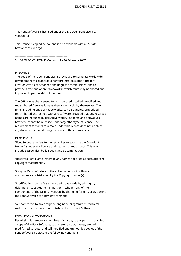This Font Software is licensed under the SIL Open Font License, Version 1.1.

This license is copied below, and is also available with a FAQ at: http://scripts.sil.org/OFL

-----------------------------------------------------------

SIL OPEN FONT LICENSE Version 1.1 - 26 February 2007

-----------------------------------------------------------

#### PREAMBLE

The goals of the Open Font License (OFL) are to stimulate worldwide development of collaborative font projects, to support the font creation efforts of academic and linguistic communities, and to provide a free and open framework in which fonts may be shared and improved in partnership with others.

The OFL allows the licensed fonts to be used, studied, modified and redistributed freely as long as they are not sold by themselves. The fonts, including any derivative works, can be bundled, embedded, redistributed and/or sold with any software provided that any reserved names are not used by derivative works. The fonts and derivatives, however, cannot be released under any other type of license. The requirement for fonts to remain under this license does not apply to any document created using the fonts or their derivatives.

#### **DEFINITIONS**

"Font Software" refers to the set of files released by the Copyright Holder(s) under this license and clearly marked as such. This may include source files, build scripts and documentation.

"Reserved Font Name" refers to any names specified as such after the copyright statement(s).

"Original Version" refers to the collection of Font Software components as distributed by the Copyright Holder(s).

"Modified Version" refers to any derivative made by adding to, deleting, or substituting -- in part or in whole -- any of the components of the Original Version, by changing formats or by porting the Font Software to a new environment.

"Author" refers to any designer, engineer, programmer, technical writer or other person who contributed to the Font Software.

#### PERMISSION & CONDITIONS

Permission is hereby granted, free of charge, to any person obtaining a copy of the Font Software, to use, study, copy, merge, embed, modify, redistribute, and sell modified and unmodified copies of the Font Software, subject to the following conditions: